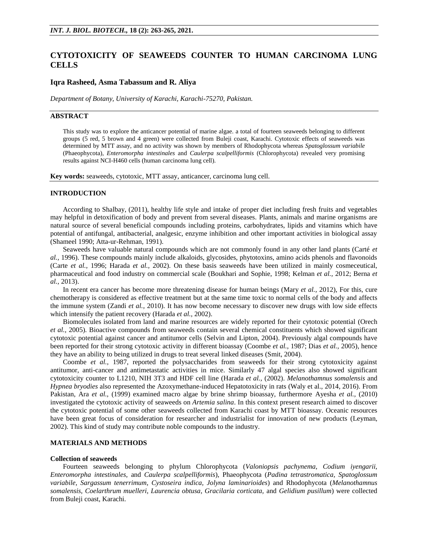# **CYTOTOXICITY OF SEAWEEDS COUNTER TO HUMAN CARCINOMA LUNG CELLS**

## **Iqra Rasheed, Asma Tabassum and R. Aliya**

*Department of Botany, University of Karachi, Karachi-75270, Pakistan.*

## **ABSTRACT**

This study was to explore the anticancer potential of marine algae. a total of fourteen seaweeds belonging to different groups (5 red, 5 brown and 4 green) were collected from Buleji coast, Karachi. Cytotoxic effects of seaweeds was determined by MTT assay, and no activity was shown by members of Rhodophycota whereas *Spatoglossum variabile* (Phaeophycota), *Enteromorpha intestinales* and *Caulerpa scalpelliformis* (Chlorophycota) revealed very promising results against NCI-H460 cells (human carcinoma lung cell).

**Key words:** seaweeds, cytotoxic, MTT assay, anticancer, carcinoma lung cell.

#### **INTRODUCTION**

According to Shalbay, (2011), healthy life style and intake of proper diet including fresh fruits and vegetables may helpful in detoxification of body and prevent from several diseases. Plants, animals and marine organisms are natural source of several beneficial compounds including proteins, carbohydrates, lipids and vitamins which have potential of antifungal, antibacterial, analgesic, enzyme inhibition and other important activities in biological assay (Shameel 1990; Atta-ur-Rehman, 1991).

Seaweeds have valuable natural compounds which are not commonly found in any other land plants (Carté *et al.,* 1996). These compounds mainly include alkaloids, glycosides, phytotoxins, amino acids phenols and flavonoids (Carte *et al.,* 1996; Harada *et al.,* 2002). On these basis seaweeds have been utilized in mainly cosmeceutical, pharmaceutical and food industry on commercial scale (Boukhari and Sophie, 1998; Kelman *et al.,* 2012; Berna *et al.,* 2013).

In recent era cancer has become more threatening disease for human beings (Mary *et al.,* 2012), For this, cure chemotherapy is considered as effective treatment but at the same time toxic to normal cells of the body and affects the immune system (Zandi *et al.,* 2010). It has now become necessary to discover new drugs with low side effects which intensify the patient recovery (Harada *et al.,* 2002).

Biomolecules isolated from land and marine resources are widely reported for their cytotoxic potential (Orech *et al.,* 2005). Bioactive compounds from seaweeds contain several chemical constituents which showed significant cytotoxic potential against cancer and antitumor cells (Selvin and Lipton, 2004). Previously algal compounds have been reported for their strong cytotoxic activity in different bioassay (Coombe *et al.,* 1987; Dias *et al.,* 2005), hence they have an ability to being utilized in drugs to treat several linked diseases (Smit, 2004).

Coombe *et al.*, 1987, reported the polysaccharides from seaweeds for their strong cytotoxicity against antitumor, anti-cancer and antimetastatic activities in mice. Similarly 47 algal species also showed significant cytotoxicity counter to L1210, NIH 3T3 and HDF cell line (Harada *et al.,* (2002). *Melanothamnus somalensis* and *Hypnea bryodies* also represented the Azoxymethane-induced Hepatotoxicity in rats (Waly et al., 2014, 2016). From Pakistan, Ara *et al.,* (1999) examined macro algae by brine shrimp bioassay, furthermore Ayesha *et al.,* (2010) investigated the cytotoxic activity of seaweeds on *Artemia salina*. In this context present research aimed to discover the cytotoxic potential of some other seaweeds collected from Karachi coast by MTT bioassay. Oceanic resources have been great focus of consideration for researcher and industrialist for innovation of new products (Leyman, 2002). This kind of study may contribute noble compounds to the industry.

## **MATERIALS AND METHODS**

### **Collection of seaweeds**

Fourteen seaweeds belonging to phylum Chlorophycota (*Valoniopsis pachynema, Codium iyengarii, Enteromorpha intestinales,* and *Caulerpa scalpelliformis*), Phaeophycota (*Padina tetrastromatica, Spatoglossum variabile, Sargassum tenerrimum, Cystoseira indica, Jolyna laminarioides*) and Rhodophycota (*Melanothamnus somalensis, Coelarthrum muelleri, Laurencia obtusa, Gracilaria corticata,* and *Gelidium pusillum*) were collected from Buleji coast, Karachi.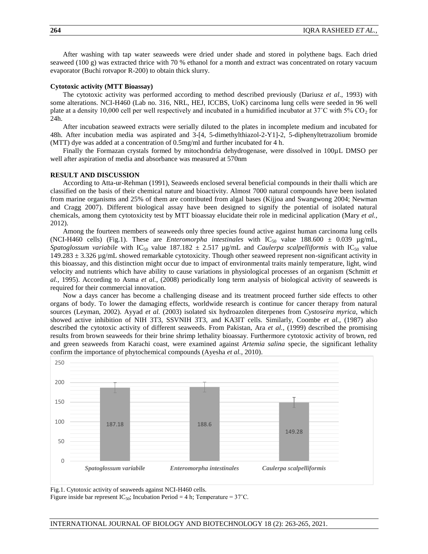After washing with tap water seaweeds were dried under shade and stored in polythene bags. Each dried seaweed (100 g) was extracted thrice with 70 % ethanol for a month and extract was concentrated on rotary vacuum evaporator (Buchi rotvapor R-200) to obtain thick slurry.

#### **Cytotoxic activity (MTT Bioassay)**

The cytotoxic activity was performed according to method described previously (Dariusz *et al*., 1993) with some alterations. NCI-H460 (Lab no. 316, NRL, HEJ, ICCBS, UoK) carcinoma lung cells were seeded in 96 well plate at a density 10,000 cell per well respectively and incubated in a humidified incubator at  $37^{\circ}$ C with  $5\%$  CO<sub>2</sub> for 24h.

After incubation seaweed extracts were serially diluted to the plates in incomplete medium and incubated for 48h. After incubation media was aspirated and 3-[4, 5-dimethylthiazol-2-Y1]-2, 5-diphenyltetrazolium bromide (MTT) dye was added at a concentration of 0.5mg/ml and further incubated for 4 h.

Finally the Formazan crystals formed by mitochondria dehydrogenase, were dissolved in 100µL DMSO per well after aspiration of media and absorbance was measured at 570nm

#### **RESULT AND DISCUSSION**

According to Atta-ur-Rehman (1991), Seaweeds enclosed several beneficial compounds in their thalli which are classified on the basis of their chemical nature and bioactivity. Almost 7000 natural compounds have been isolated from marine organisms and 25% of them are contributed from algal bases (Kijjoa and Swangwong 2004; Newman and Cragg 2007). Different biological assay have been designed to signify the potential of isolated natural chemicals, among them cytotoxicity test by MTT bioassay elucidate their role in medicinal application (Mary *et al.,* 2012).

Among the fourteen members of seaweeds only three species found active against human carcinoma lung cells (NCI-H460 cells) (Fig.1). These are *Enteromorpha intestinales* with  $IC_{50}$  value 188.600  $\pm$  0.039 µg/mL, *Spatoglossum variabile* with IC<sub>50</sub> value 187.182  $\pm$  2.517 µg/mL and *Caulerpa scalpelliformis* with IC<sub>50</sub> value 149.283 ± 3.326 µg/mL showed remarkable cytotoxicity. Though other seaweed represent non-significant activity in this bioassay, and this distinction might occur due to impact of environmental traits mainly temperature, light, wind velocity and nutrients which have ability to cause variations in physiological processes of an organism (Schmitt *et al.,* 1995). According to Asma *et al.,* (2008) periodically long term analysis of biological activity of seaweeds is required for their commercial innovation.

Now a days cancer has become a challenging disease and its treatment proceed further side effects to other organs of body. To lower the damaging effects, worldwide research is continue for cancer therapy from natural sources (Leyman, 2002). Ayyad *et al.* (2003) isolated six hydroazolen diterpenes from *Cystoseira myrica*, which showed active inhibition of NIH 3T3, SSVNIH 3T3, and KA3IT cells. Similarly, Coombe *et al.,* (1987) also described the cytotoxic activity of different seaweeds. From Pakistan, Ara *et al.,* (1999) described the promising results from brown seaweeds for their brine shrimp lethality bioassay. Furthermore cytotoxic activity of brown, red and green seaweeds from Karachi coast, were examined against *Artemia salina* specie, the significant lethality confirm the importance of phytochemical compounds (Ayesha *et al.,* 2010).



Fig.1. Cytotoxic activity of seaweeds against NCI-H460 cells.

Figure inside bar represent IC<sub>50</sub>; Incubation Period = 4 h; Temperature =  $37^{\circ}$ C.